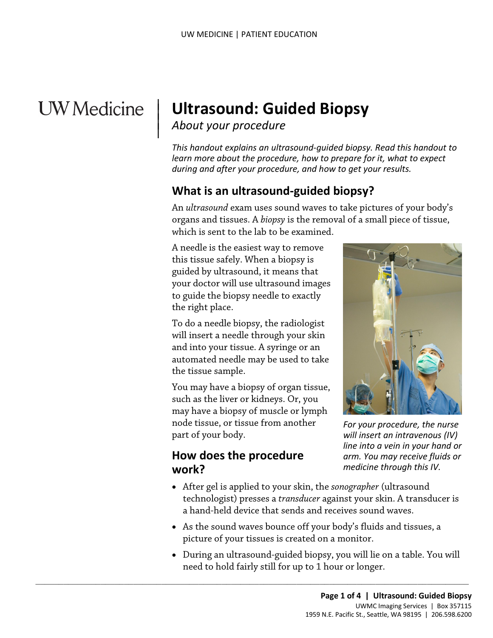# **UW** Medicine

 $\overline{\phantom{a}}$ 

# <sup>|</sup>**Ultrasound: Guided Biopsy** | *About your procedure* <sup>|</sup>

*This handout explains an ultrasound-guided biopsy. Read this handout to learn more about the procedure, how to prepare for it, what to expect during and after your procedure, and how to get your results.* 

# **What is an ultrasound-guided biopsy?**

An *ultrasound* exam uses sound waves to take pictures of your body's organs and tissues. A *biopsy* is the removal of a small piece of tissue, which is sent to the lab to be examined.

A needle is the easiest way to remove this tissue safely. When a biopsy is guided by ultrasound, it means that your doctor will use ultrasound images to guide the biopsy needle to exactly the right place.

 automated needle may be used to take the tissue sample. To do a needle biopsy, the radiologist will insert a needle through your skin and into your tissue. A syringe or an

You may have a biopsy of organ tissue, such as the liver or kidneys. Or, you may have a biopsy of muscle or lymph node tissue, or tissue from another part of your body.

 $\_$  ,  $\_$  ,  $\_$  ,  $\_$  ,  $\_$  ,  $\_$  ,  $\_$  ,  $\_$  ,  $\_$  ,  $\_$  ,  $\_$  ,  $\_$  ,  $\_$  ,  $\_$  ,  $\_$  ,  $\_$  ,  $\_$  ,  $\_$  ,  $\_$  ,  $\_$  ,  $\_$  ,  $\_$  ,  $\_$  ,  $\_$  ,  $\_$  ,  $\_$  ,  $\_$  ,  $\_$  ,  $\_$  ,  $\_$  ,  $\_$  ,  $\_$  ,  $\_$  ,  $\_$  ,  $\_$  ,  $\_$  ,  $\_$  ,

#### **How does the procedure work?**



 *arm. You may receive fluids or medicine through this IV. For your procedure, the nurse will insert an intravenous (IV) line into a vein in your hand or* 

- After gel is applied to your skin, the *sonographer* (ultrasound technologist) presses a *transducer* against your skin. A transducer is a hand-held device that sends and receives sound waves.
- picture of your tissues is created on a monitor. • As the sound waves bounce off your body's fluids and tissues, a
- • During an ultrasound-guided biopsy, you will lie on a table. You will need to hold fairly still for up to 1 hour or longer.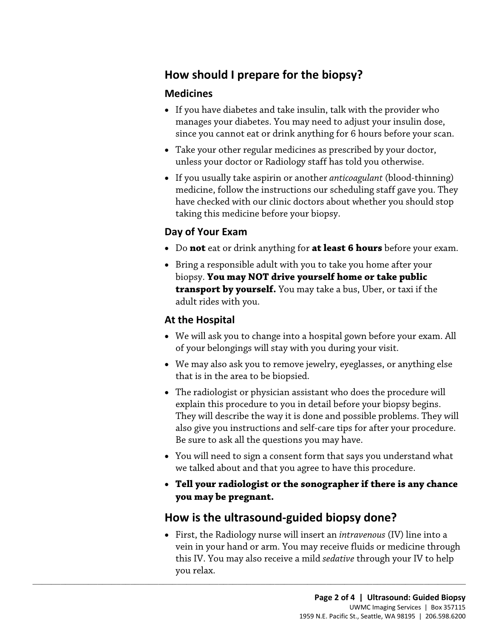# **How should I prepare for the biopsy?**

#### **Medicines**

- • If you have diabetes and take insulin, talk with the provider who manages your diabetes. You may need to adjust your insulin dose, since you cannot eat or drink anything for 6 hours before your scan.
- Take your other regular medicines as prescribed by your doctor, unless your doctor or Radiology staff has told you otherwise.
- If you usually take aspirin or another *anticoagulant* (blood-thinning) medicine, follow the instructions our scheduling staff gave you. They have checked with our clinic doctors about whether you should stop taking this medicine before your biopsy.

#### **Day of Your Exam**

- Do **not** eat or drink anything for **at least 6 hours** before your exam.
- adult rides with you. • Bring a responsible adult with you to take you home after your biopsy. **You may NOT drive yourself home or take public transport by yourself.** You may take a bus, Uber, or taxi if the

#### **At the Hospital**

- We will ask you to change into a hospital gown before your exam. All of your belongings will stay with you during your visit.
- that is in the area to be biopsied. • We may also ask you to remove jewelry, eyeglasses, or anything else
- explain this procedure to you in detail before your biopsy begins. Be sure to ask all the questions you may have. • The radiologist or physician assistant who does the procedure will They will describe the way it is done and possible problems. They will also give you instructions and self-care tips for after your procedure.
- You will need to sign a consent form that says you understand what we talked about and that you agree to have this procedure.
- **Tell your radiologist or the sonographer if there is any chance you may be pregnant.**

#### **How is the ultrasound-guided biopsy done?**

 $\_$  ,  $\_$  ,  $\_$  ,  $\_$  ,  $\_$  ,  $\_$  ,  $\_$  ,  $\_$  ,  $\_$  ,  $\_$  ,  $\_$  ,  $\_$  ,  $\_$  ,  $\_$  ,  $\_$  ,  $\_$  ,  $\_$  ,  $\_$  ,  $\_$  ,  $\_$  ,  $\_$  ,  $\_$  ,  $\_$  ,  $\_$  ,  $\_$  ,  $\_$  ,  $\_$  ,  $\_$  ,  $\_$  ,  $\_$  ,  $\_$  ,  $\_$  ,  $\_$  ,  $\_$  ,  $\_$  ,  $\_$  ,  $\_$  ,

• First, the Radiology nurse will insert an *intravenous* (IV) line into a vein in your hand or arm. You may receive fluids or medicine through this IV. You may also receive a mild *sedative* through your IV to help you relax.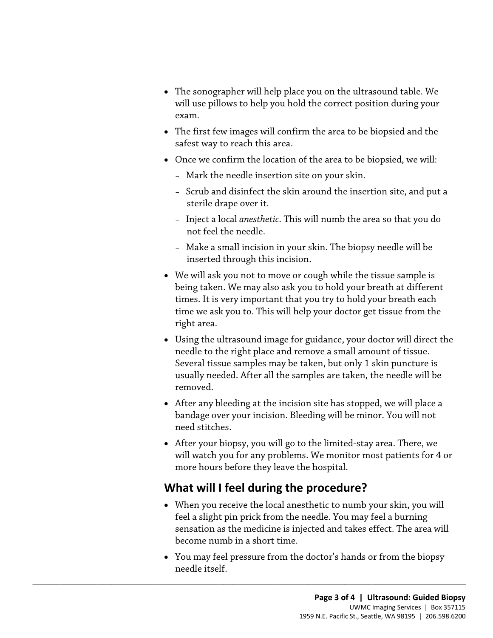- The sonographer will help place you on the ultrasound table. We will use pillows to help you hold the correct position during your exam.
- safest way to reach this area. • The first few images will confirm the area to be biopsied and the
- Once we confirm the location of the area to be biopsied, we will:
	- Mark the needle insertion site on your skin.
	- Scrub and disinfect the skin around the insertion site, and put a sterile drape over it.
	- Inject a local *anesthetic*. This will numb the area so that you do not feel the needle.
	- Make a small incision in your skin. The biopsy needle will be inserted through this incision.
- We will ask you not to move or cough while the tissue sample is being taken. We may also ask you to hold your breath at different times. It is very important that you try to hold your breath each time we ask you to. This will help your doctor get tissue from the right area.
- Several tissue samples may be taken, but only 1 skin puncture is • Using the ultrasound image for guidance, your doctor will direct the needle to the right place and remove a small amount of tissue. usually needed. After all the samples are taken, the needle will be removed.
- After any bleeding at the incision site has stopped, we will place a bandage over your incision. Bleeding will be minor. You will not need stitches.
- After your biopsy, you will go to the limited-stay area. There, we will watch you for any problems. We monitor most patients for 4 or more hours before they leave the hospital.

#### **What will I feel during the procedure?**

 $\_$  ,  $\_$  ,  $\_$  ,  $\_$  ,  $\_$  ,  $\_$  ,  $\_$  ,  $\_$  ,  $\_$  ,  $\_$  ,  $\_$  ,  $\_$  ,  $\_$  ,  $\_$  ,  $\_$  ,  $\_$  ,  $\_$  ,  $\_$  ,  $\_$  ,  $\_$  ,  $\_$  ,  $\_$  ,  $\_$  ,  $\_$  ,  $\_$  ,  $\_$  ,  $\_$  ,  $\_$  ,  $\_$  ,  $\_$  ,  $\_$  ,  $\_$  ,  $\_$  ,  $\_$  ,  $\_$  ,  $\_$  ,  $\_$  ,

- When you receive the local anesthetic to numb your skin, you will feel a slight pin prick from the needle. You may feel a burning sensation as the medicine is injected and takes effect. The area will become numb in a short time.
- You may feel pressure from the doctor's hands or from the biopsy needle itself.